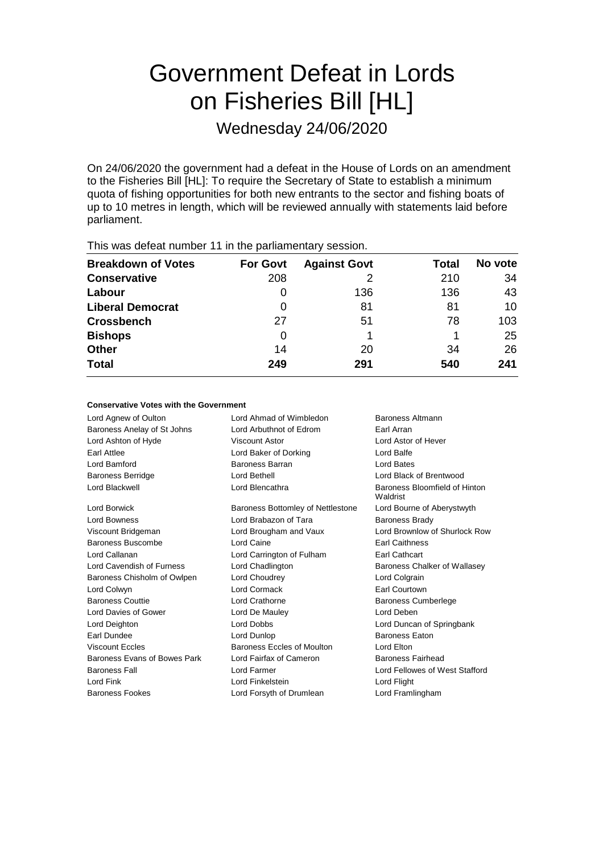# Government Defeat in Lords on Fisheries Bill [HL]

Wednesday 24/06/2020

On 24/06/2020 the government had a defeat in the House of Lords on an amendment to the Fisheries Bill [HL]: To require the Secretary of State to establish a minimum quota of fishing opportunities for both new entrants to the sector and fishing boats of up to 10 metres in length, which will be reviewed annually with statements laid before parliament.

| This mas actour harmoof Them the parmamentary occording |                 |                     |       |         |  |
|---------------------------------------------------------|-----------------|---------------------|-------|---------|--|
| <b>Breakdown of Votes</b>                               | <b>For Govt</b> | <b>Against Govt</b> | Total | No vote |  |
| <b>Conservative</b>                                     | 208             |                     | 210   | 34      |  |
| Labour                                                  | O               | 136                 | 136   | 43      |  |
| <b>Liberal Democrat</b>                                 | O               | 81                  | 81    | 10      |  |
| <b>Crossbench</b>                                       | 27              | 51                  | 78    | 103     |  |
| <b>Bishops</b>                                          | 0               |                     |       | 25      |  |
| <b>Other</b>                                            | 14              | 20                  | 34    | 26      |  |
| <b>Total</b>                                            | 249             | 291                 | 540   | 241     |  |
|                                                         |                 |                     |       |         |  |

This was defeat number 11 in the parliamentary session.

#### **Conservative Votes with the Government**

| Lord Ahmad of Wimbledon<br>Baroness Altmann |                                           |  |
|---------------------------------------------|-------------------------------------------|--|
| Lord Arbuthnot of Edrom                     | Earl Arran                                |  |
| Viscount Astor                              | Lord Astor of Hever                       |  |
| Lord Baker of Dorking                       | Lord Balfe                                |  |
| Baroness Barran                             | Lord Bates                                |  |
| Lord Bethell                                | Lord Black of Brentwood                   |  |
| Lord Blencathra                             | Baroness Bloomfield of Hinton<br>Waldrist |  |
| Baroness Bottomley of Nettlestone           | Lord Bourne of Aberystwyth                |  |
| Lord Brabazon of Tara                       | <b>Baroness Brady</b>                     |  |
| Lord Brougham and Vaux                      | Lord Brownlow of Shurlock Row             |  |
| Lord Caine                                  | <b>Earl Caithness</b>                     |  |
| Lord Carrington of Fulham                   | Earl Cathcart                             |  |
| Lord Chadlington                            | Baroness Chalker of Wallasey              |  |
| Lord Choudrey                               | Lord Colgrain                             |  |
| Lord Cormack                                | Earl Courtown                             |  |
| Lord Crathorne                              | <b>Baroness Cumberlege</b>                |  |
| Lord De Mauley                              | Lord Deben                                |  |
| <b>Lord Dobbs</b>                           | Lord Duncan of Springbank                 |  |
| Lord Dunlop                                 | <b>Baroness Eaton</b>                     |  |
| Baroness Eccles of Moulton                  | Lord Elton                                |  |
| Lord Fairfax of Cameron                     | Baroness Fairhead                         |  |
| Lord Farmer                                 | Lord Fellowes of West Stafford            |  |
| Lord Finkelstein                            | Lord Flight                               |  |
| Lord Forsyth of Drumlean                    | Lord Framlingham                          |  |
|                                             |                                           |  |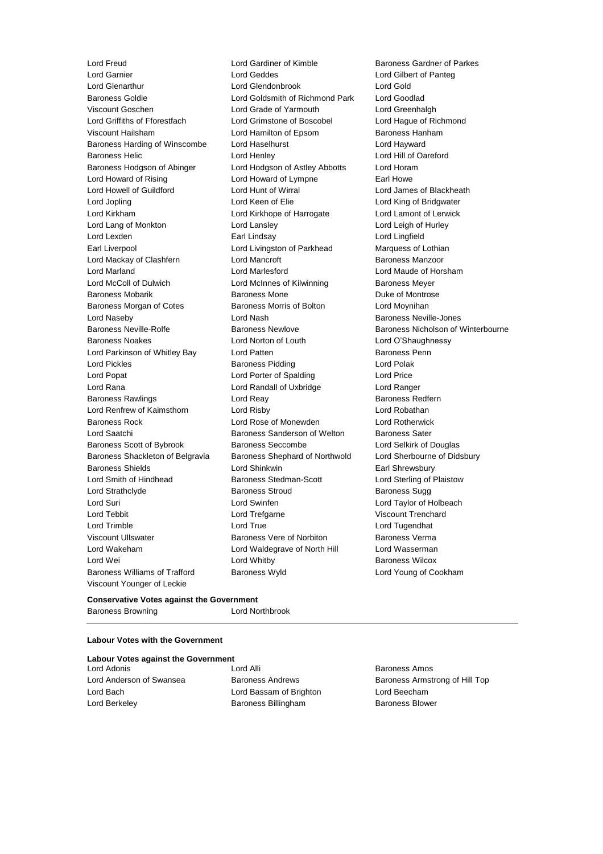Lord Glenarthur Lord Glendonbrook Lord Gold Baroness Goldie Lord Goldsmith of Richmond Park Lord Goodlad Viscount Goschen Lord Grade of Yarmouth Lord Greenhalgh Lord Griffiths of Fforestfach Lord Grimstone of Boscobel Lord Hague of Richmond Viscount Hailsham **Viscount Hangley Constructs** Lord Hamilton of Epsom Baroness Hanham Baroness Harding of Winscombe Lord Haselhurst Lord Hayward Baroness Helic **Lord Henley** Lord Hill of Oareford Lord Hill of Oareford Baroness Hodgson of Abinger Lord Hodgson of Astley Abbotts Lord Horam Lord Howard of Rising Lord Howard of Lympne Earl Howe Lord Howell of Guildford Lord Hunt of Wirral Lord James of Blackheath Lord Jopling **Lord Communist Lord Keen of Elie** Lord King of Bridgwater Lord Kirkham Lord Kirkhope of Harrogate Lord Lamont of Lerwick Lord Lang of Monkton Lord Lansley Lord Leigh of Hurley Lord Lexden Earl Lindsay Lord Lingfield Earl Liverpool Lord Livingston of Parkhead Marquess of Lothian Lord Mackay of Clashfern **Lord Mancroft Baroness Manzoor** Lord Marland Lord Marlesford Lord Maude of Horsham Lord McColl of Dulwich **Lord McInnes of Kilwinning** Baroness Meyer Baroness Mobarik Baroness Mone Duke of Montrose Baroness Morgan of Cotes **Baroness Morris of Bolton** Lord Moynihan Lord Naseby **Lord Nash Baroness Neville-Jones** Lord Nash Baroness Neville-Jones Baroness Neville-Rolfe Baroness Newlove Baroness Newlove Baroness Nicholson of Winterbourne Baroness Noakes Lord Norton of Louth Lord O'Shaughnessy Lord Parkinson of Whitley Bay Lord Patten **Baroness Penn** Lord Pickles **Baroness Pidding Lord Polak** Lord Polak Lord Popat **Lord Porter of Spalding Lord Price** Lord Rana Lord Randall of Uxbridge Lord Ranger Baroness Rawlings **Baroness Realists** Lord Reay **Baroness Redfern** Lord Renfrew of Kaimsthorn Lord Risby Lord Robathan Baroness Rock Lord Rose of Monewden Lord Rotherwick Lord Saatchi **Baroness Sanderson of Welton** Baroness Sater Baroness Scott of Bybrook Baroness Seccombe Lord Selkirk of Douglas Baroness Shackleton of Belgravia Baroness Shephard of Northwold Lord Sherbourne of Didsbury Baroness Shields Lord Shinkwin Earl Shrewsbury Lord Smith of Hindhead **Baroness Stedman-Scott** Lord Sterling of Plaistow Lord Strathclyde **Baroness Stroud** Baroness Sugg Baroness Sugg Lord Suri Lord Swinfen Lord Taylor of Holbeach Lord Tebbit Lord Trefgarne Viscount Trenchard Lord Trimble **Lord True** Lord True **Lord True** Lord Tugendhat Viscount Ullswater Baroness Vere of Norbiton Baroness Verma Lord Wakeham **Lord Waldegrave of North Hill** Lord Wasserman Lord Wei **Lord Whitby Constant Lord Whitby Baroness Wilcox** Baroness Williams of Trafford Baroness Wyld Lord Young of Cookham Viscount Younger of Leckie

Lord Freud **Lord Gardiner of Kimble** Baroness Gardner of Parkes<br>
Lord Garnier **Lord Geddes** Lord Geddes **Lord Gilbert of Pante** a

Lord Gilbert of Panteg

#### **Conservative Votes against the Government** Baroness Browning **Lord Northbrook**

#### **Labour Votes with the Government**

#### **Labour Votes against the Government**

Lord Bach Lord Bassam of Brighton Lord Beecham Lord Berkeley **Baroness Billingham** Baroness Blower

Lord Adonis Lord Alli Baroness Amos

Lord Anderson of Swansea Baroness Andrews Baroness Armstrong of Hill Top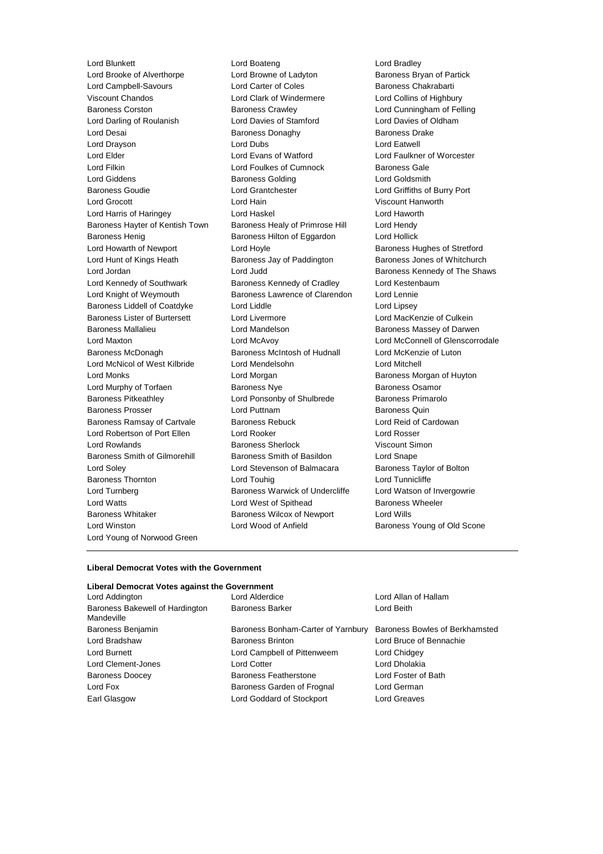Lord Brooke of Alverthorpe Lord Browne of Ladyton Baroness Bryan of Partick Lord Campbell-Savours Lord Carter of Coles Baroness Chakrabarti Viscount Chandos Lord Clark of Windermere Lord Collins of Highbury Baroness Corston Baroness Crawley Lord Cunningham of Felling Lord Darling of Roulanish Lord Davies of Stamford Lord Davies of Oldham Lord Desai Baroness Donaghy Baroness Drake Lord Drayson Lord Dubs Lord Eatwell Lord Elder Lord Evans of Watford Lord Faulkner of Worcester Lord Filkin **Lord Foulkes of Cumnock** Baroness Gale Lord Giddens Baroness Golding Lord Goldsmith Baroness Goudie Lord Grantchester Lord Griffiths of Burry Port Lord Grocott Lord Hain Viscount Hanworth Lord Harris of Haringey Lord Haskel Lord Haworth Baroness Hayter of Kentish Town Baroness Healy of Primrose Hill Lord Hendy Baroness Henig **Baroness Hilton of Eggardon** Lord Hollick Lord Howarth of Newport **Lord Hoyle Lord Hoyle Baroness Hughes of Stretford** Lord Hunt of Kings Heath **Baroness Jay of Paddington** Baroness Jones of Whitchurch Lord Jordan Lord Judd Baroness Kennedy of The Shaws Lord Kennedy of Southwark **Baroness Kennedy of Cradley** Lord Kestenbaum Lord Knight of Weymouth Baroness Lawrence of Clarendon Lord Lennie Baroness Liddell of Coatdyke Lord Liddle Lord Lipsey Baroness Lister of Burtersett Lord Livermore Lord Lord MacKenzie of Culkein Baroness Mallalieu Lord Mandelson Baroness Massey of Darwen Lord Maxton Lord McAvoy Lord McConnell of Glenscorrodale Baroness McDonagh Baroness McIntosh of Hudnall Lord McKenzie of Luton Lord McNicol of West Kilbride Lord Mendelsohn Lord Mitchell Lord Monks Lord Morgan Baroness Morgan of Huyton Lord Murphy of Torfaen **Baroness Nye** Baroness Osamor Baroness Pitkeathley Lord Ponsonby of Shulbrede Baroness Primarolo Baroness Prosser **Example 2** Lord Puttnam **Baroness Quin** Baroness Quin Baroness Ramsay of Cartvale Baroness Rebuck Lord Reid of Cardowan Lord Robertson of Port Ellen Lord Rooker Lord Rosser Lord Rowlands Baroness Sherlock Viscount Simon Baroness Smith of Gilmorehill Baroness Smith of Basildon Lord Snape Lord Soley **Lord Stevenson of Balmacara** Baroness Taylor of Bolton Baroness Thornton **Lord Touhig** Lord Tunnicliffe Lord Turnberg **Baroness Warwick of Undercliffe** Lord Watson of Invergowrie Lord Watts **Lord West of Spithead** Baroness Wheeler Baroness Whitaker **Baroness Wilcox of Newport** Lord Wills Lord Winston **Lord Wood of Anfield** Baroness Young of Old Scone Lord Young of Norwood Green

Lord Blunkett Lord Boateng Lord Bradley

#### **Liberal Democrat Votes with the Government**

#### **Liberal Democrat Votes against the Government**

| Lora Addington                                |
|-----------------------------------------------|
| Baroness Bakewell of Hardington<br>Mandeville |
| Baroness Benjamin                             |
| Lord Bradshaw                                 |
| Lord Burnett                                  |
| Lord Clement-Jones                            |
| Baroness Doocey                               |
| Lord Fox                                      |
| Earl Glasgow                                  |

### Baroness Bonham-Carter of Yarnbury Baroness Bowles of Berkhamsted Baroness Brinton **Baroness Brinton** Lord Bruce of Bennachie Lord Campbell of Pittenweem Lord Chidgey Lord Cotter **Lord Cotter Lord Cotter Lord Dholakia** Baroness Featherstone **Lord Foster of Bath** Baroness Garden of Frognal Lord German Lord Goddard of Stockport Lord Greaves

Lord Alderdice **Lord Allan of Hallam** Baroness Barker Lord Beith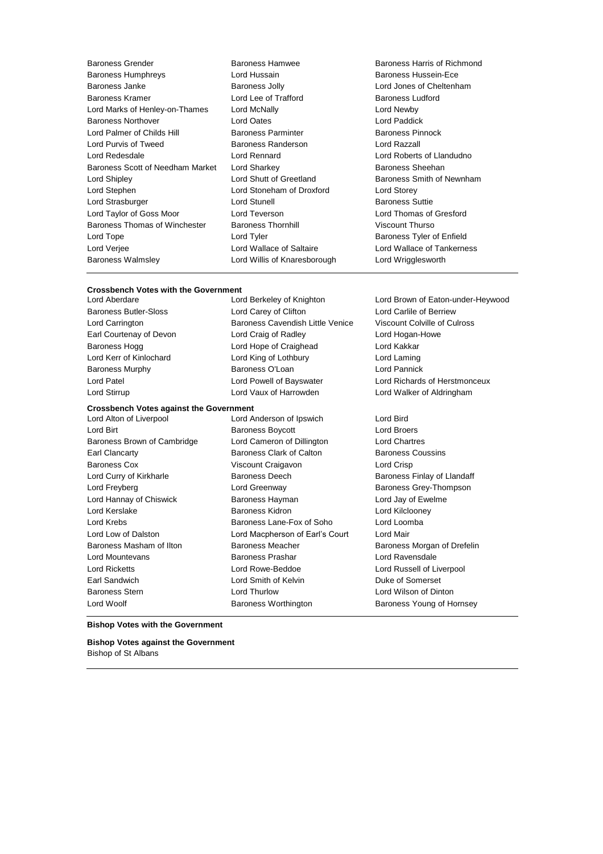Baroness Grender Baroness Hamwee Baroness Harris of Richmond Baroness Humphreys Lord Hussain Baroness Hussein-Ece Baroness Janke Baroness Jolly Lord Jones of Cheltenham Baroness Kramer Lord Lee of Trafford Baroness Ludford Lord Marks of Henley-on-Thames Lord McNally Lord Newby Baroness Northover Lord Oates Lord Paddick Lord Palmer of Childs Hill Baroness Parminter Lord Purvis of Tweed Baroness Randerson Lord Razzall Lord Redesdale Lord Rennard Lord Roberts of Llandudno Baroness Scott of Needham Market Lord Sharkey **Baroness Sheehan** Lord Shipley **Lord Shutt of Greetland** Baroness Smith of Newnham Lord Stephen Lord Stoneham of Droxford Lord Storey Lord Strasburger Lord Stunell Baroness Suttie Lord Taylor of Goss Moor Lord Teverson Lord Thomas of Gresford Baroness Thomas of Winchester Baroness Thornhill Viscount Thurso Lord Tope **Lord Tyler Lord Tyler Baroness Tyler of Enfield** Lord Verjee Lord Wallace of Saltaire Lord Wallace of Tankerness Baroness Walmsley Lord Willis of Knaresborough Lord Wrigglesworth

## **Crossbench Votes with the Government**

Lord Aberdare Lord Berkeley of Knighton Lord Brown of Eaton-under-Heywood

Lord Birt Baroness Boycott Lord Broers Baroness Brown of Cambridge Lord Cameron of Dillington Lord Chartres Earl Clancarty **Baroness Clark of Calton** Baroness Coussins **Baroness Coussins** Baroness Cox Viscount Craigavon Lord Crisp Lord Curry of Kirkharle **Baroness Deech** Baroness Deech Baroness Finlay of Llandaff Lord Freyberg **Lord Greenway Baroness Grey-Thompson** Lord Hannay of Chiswick Baroness Hayman Lord Jay of Ewelme Lord Kerslake **Baroness Kidron** Baroness Kidron Lord Kilclooney Lord Krebs Baroness Lane-Fox of Soho Lord Loomba Lord Low of Dalston Lord Macpherson of Earl's Court Lord Mair Baroness Masham of Ilton Baroness Meacher Baroness Morgan of Drefelin Lord Mountevans Baroness Prashar Lord Ravensdale Lord Ricketts Lord Rowe-Beddoe Lord Russell of Liverpool Earl Sandwich Lord Smith of Kelvin Duke of Somerset Baroness Stern Lord Thurlow Lord Wilson of Dinton

Baroness Butler-Sloss Lord Carey of Clifton Lord Carlile of Berriew Lord Carrington Baroness Cavendish Little Venice Viscount Colville of Culross Earl Courtenay of Devon Lord Craig of Radley Lord Hogan-Howe Baroness Hogg **Lord Hope of Craighead** Lord Kakkar Lord Kerr of Kinlochard **Lord King of Lothbury** Lord Laming Lord Laming Baroness Murphy **Baroness O'Loan** Lord Pannick Lord Patel Lord Powell of Bayswater Lord Richards of Herstmonceux Lord Stirrup Lord Vaux of Harrowden Lord Walker of Aldringham

**Crossbench Votes against the Government**<br>Lord Alton of Liverpool Lord A

Lord Anderson of Ipswich Lord Bird

Lord Woolf Baroness Worthington Baroness Young of Hornsey

#### **Bishop Votes with the Government**

**Bishop Votes against the Government** Bishop of St Albans